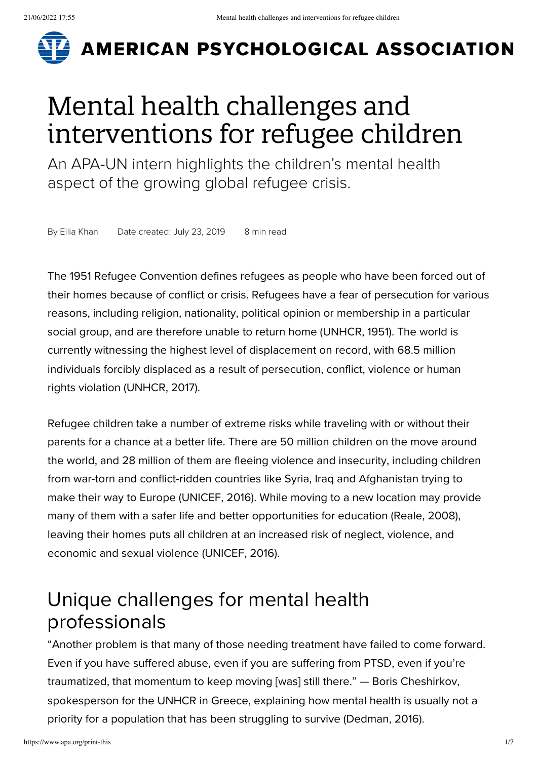

# **AMERICAN PSYCHOLOGICAL ASSOCIATION**

# Mental health challenges and interventions for refugee children

An APA-UN intern highlights the children's mental health aspect of the growing global refugee crisis.

By Ellia [Khan](https://www.apa.org/search?query=&fq=ContributorFilt:%22Khan,%20Ellia%22&sort=ContentDateSort%20desc) Date created: July 23, 2019 8 min read

The 1951 Refugee Convention defines refugees as people who have been forced out of their homes because of conflict or crisis. Refugees have a fear of persecution for various reasons, including religion, nationality, political opinion or membership in a particular social group, and are therefore unable to return home (UNHCR, 1951). The world is currently witnessing the highest level of displacement on record, with 68.5 million individuals forcibly displaced as a result of persecution, conflict, violence or human rights violation (UNHCR, 2017).

Refugee children take a number of extreme risks while traveling with or without their parents for a chance at a better life. There are 50 million children on the move around the world, and 28 million of them are fleeing violence and insecurity, including children from war-torn and conflict-ridden countries like Syria, Iraq and Afghanistan trying to make their way to Europe (UNICEF, 2016). While moving to a new location may provide many of them with a safer life and better opportunities for education (Reale, 2008), leaving their homes puts all children at an increased risk of neglect, violence, and economic and sexual violence (UNICEF, 2016).

## Unique challenges for mental health professionals

"Another problem is that many of those needing treatment have failed to come forward. Even if you have suffered abuse, even if you are suffering from PTSD, even if you're traumatized, that momentum to keep moving [was] still there." — Boris Cheshirkov, spokesperson for the UNHCR in Greece, explaining how mental health is usually not a priority for a population that has been struggling to survive (Dedman, 2016).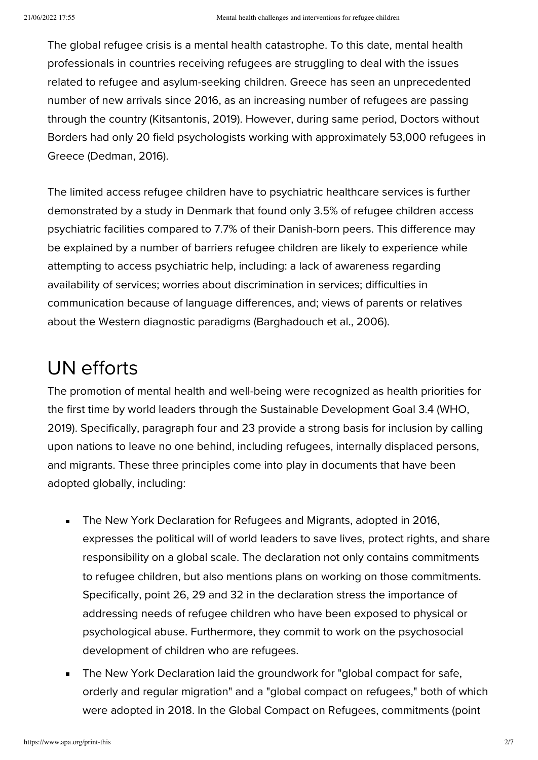The global refugee crisis is a mental health catastrophe. To this date, mental health professionals in countries receiving refugees are struggling to deal with the issues related to refugee and asylum-seeking children. Greece has seen an unprecedented number of new arrivals since 2016, as an increasing number of refugees are passing through the country (Kitsantonis, 2019). However, during same period, Doctors without Borders had only 20 field psychologists working with approximately 53,000 refugees in Greece (Dedman, 2016).

The limited access refugee children have to psychiatric healthcare services is further demonstrated by a study in Denmark that found only 3.5% of refugee children access psychiatric facilities compared to 7.7% of their Danish-born peers. This difference may be explained by a number of barriers refugee children are likely to experience while attempting to access psychiatric help, including: a lack of awareness regarding availability of services; worries about discrimination in services; difficulties in communication because of language differences, and; views of parents or relatives about the Western diagnostic paradigms (Barghadouch et al., 2006).

### UN efforts

The promotion of mental health and well-being were recognized as health priorities for the first time by world leaders through the Sustainable Development Goal 3.4 (WHO, 2019). Specifically, paragraph four and 23 provide a strong basis for inclusion by calling upon nations to leave no one behind, including refugees, internally displaced persons, and migrants. These three principles come into play in documents that have been adopted globally, including:

- $\blacksquare$ The New York Declaration for Refugees and Migrants, adopted in 2016, expresses the political will of world leaders to save lives, protect rights, and share responsibility on a global scale. The declaration not only contains commitments to refugee children, but also mentions plans on working on those commitments. Specifically, point 26, 29 and 32 in the declaration stress the importance of addressing needs of refugee children who have been exposed to physical or psychological abuse. Furthermore, they commit to work on the psychosocial development of children who are refugees.
- The New York Declaration laid the groundwork for "global compact for safe,  $\blacksquare$ orderly and regular migration" and a "global compact on refugees," both of which were adopted in 2018. In the Global Compact on Refugees, commitments (point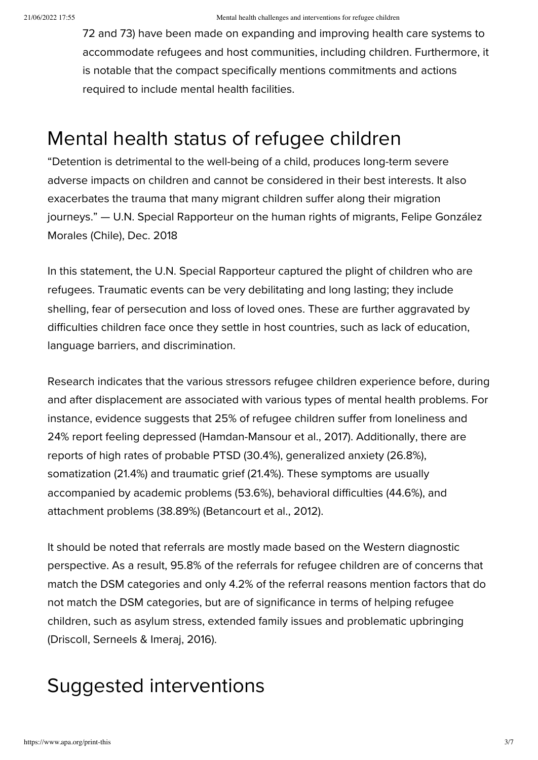72 and 73) have been made on expanding and improving health care systems to accommodate refugees and host communities, including children. Furthermore, it is notable that the compact specifically mentions commitments and actions required to include mental health facilities.

#### Mental health status of refugee children

"Detention is detrimental to the well-being of a child, produces long-term severe adverse impacts on children and cannot be considered in their best interests. It also exacerbates the trauma that many migrant children suffer along their migration journeys." — U.N. Special Rapporteur on the human rights of migrants, Felipe González Morales (Chile), Dec. 2018

In this statement, the U.N. Special Rapporteur captured the plight of children who are refugees. Traumatic events can be very debilitating and long lasting; they include shelling, fear of persecution and loss of loved ones. These are further aggravated by difficulties children face once they settle in host countries, such as lack of education, language barriers, and discrimination.

Research indicates that the various stressors refugee children experience before, during and after displacement are associated with various types of mental health problems. For instance, evidence suggests that 25% of refugee children suffer from loneliness and 24% report feeling depressed (Hamdan-Mansour et al., 2017). Additionally, there are reports of high rates of probable PTSD (30.4%), generalized anxiety (26.8%), somatization (21.4%) and traumatic grief (21.4%). These symptoms are usually accompanied by academic problems (53.6%), behavioral difficulties (44.6%), and attachment problems (38.89%) (Betancourt et al., 2012).

It should be noted that referrals are mostly made based on the Western diagnostic perspective. As a result, 95.8% of the referrals for refugee children are of concerns that match the DSM categories and only 4.2% of the referral reasons mention factors that do not match the DSM categories, but are of significance in terms of helping refugee children, such as asylum stress, extended family issues and problematic upbringing (Driscoll, Serneels & Imeraj, 2016).

# Suggested interventions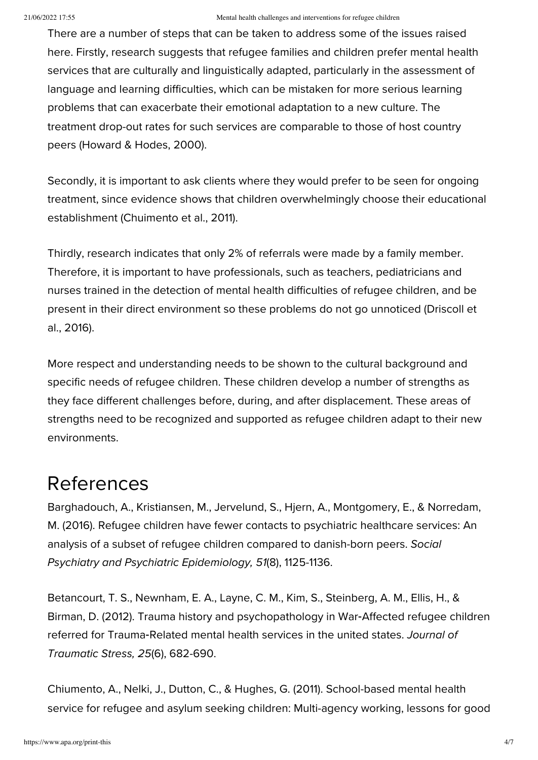There are a number of steps that can be taken to address some of the issues raised here. Firstly, research suggests that refugee families and children prefer mental health services that are culturally and linguistically adapted, particularly in the assessment of language and learning difficulties, which can be mistaken for more serious learning problems that can exacerbate their emotional adaptation to a new culture. The treatment drop-out rates for such services are comparable to those of host country peers (Howard & Hodes, 2000).

Secondly, it is important to ask clients where they would prefer to be seen for ongoing treatment, since evidence shows that children overwhelmingly choose their educational establishment (Chuimento et al., 2011).

Thirdly, research indicates that only 2% of referrals were made by a family member. Therefore, it is important to have professionals, such as teachers, pediatricians and nurses trained in the detection of mental health difficulties of refugee children, and be present in their direct environment so these problems do not go unnoticed (Driscoll et al., 2016).

More respect and understanding needs to be shown to the cultural background and specific needs of refugee children. These children develop a number of strengths as they face different challenges before, during, and after displacement. These areas of strengths need to be recognized and supported as refugee children adapt to their new environments.

#### References

Barghadouch, A., Kristiansen, M., Jervelund, S., Hjern, A., Montgomery, E., & Norredam, M. (2016). Refugee children have fewer contacts to psychiatric healthcare services: An analysis of a subset of refugee children compared to danish-born peers. Social Psychiatry and Psychiatric Epidemiology, 51(8), 1125-1136.

Betancourt, T. S., Newnham, E. A., Layne, C. M., Kim, S., Steinberg, A. M., Ellis, H., & Birman, D. (2012). Trauma history and psychopathology in War‐Affected refugee children referred for Trauma-Related mental health services in the united states. Journal of Traumatic Stress, 25(6), 682-690.

Chiumento, A., Nelki, J., Dutton, C., & Hughes, G. (2011). School-based mental health service for refugee and asylum seeking children: Multi-agency working, lessons for good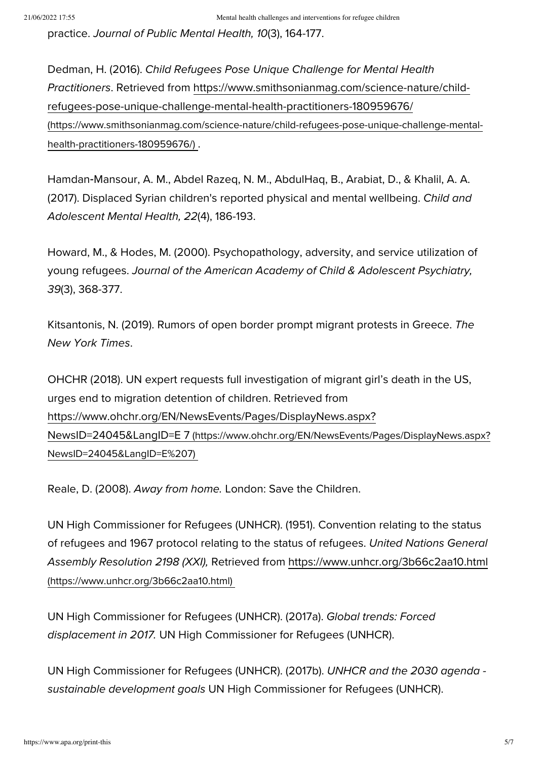practice. Journal of Public Mental Health, 10(3), 164-177.

Dedman, H. (2016). Child Refugees Pose Unique Challenge for Mental Health Practitioners. Retrieved from https://www.smithsonianmag.com/science-nature/childrefugees-pose-unique-challenge-mental-health-practitioners-180959676/ [\(https://www.smithsonianmag.com/science-nature/child-refugees-pose-unique-challenge-mental](https://www.smithsonianmag.com/science-nature/child-refugees-pose-unique-challenge-mental-health-practitioners-180959676/)health-practitioners-180959676/) .

Hamdan‐Mansour, A. M., Abdel Razeq, N. M., AbdulHaq, B., Arabiat, D., & Khalil, A. A. (2017). Displaced Syrian children's reported physical and mental wellbeing. Child and Adolescent Mental Health, 22(4), 186-193.

Howard, M., & Hodes, M. (2000). Psychopathology, adversity, and service utilization of young refugees. Journal of the American Academy of Child & Adolescent Psychiatry, 39(3), 368-377.

Kitsantonis, N. (2019). Rumors of open border prompt migrant protests in Greece. The New York Times.

OHCHR (2018). UN expert requests full investigation of migrant girl's death in the US, urges end to migration detention of children. Retrieved from [https://www.ohchr.org/EN/NewsEvents/Pages/DisplayNews.aspx?](https://www.ohchr.org/EN/NewsEvents/Pages/DisplayNews.aspx?NewsID=24045&LangID=E%207) NewsID=24045&LangID=E 7 (https://www.ohchr.org/EN/NewsEvents/Pages/DisplayNews.aspx? NewsID=24045&LangID=E%207)

Reale, D. (2008). Away from home. London: Save the Children.

UN High Commissioner for Refugees (UNHCR). (1951). Convention relating to the status of refugees and 1967 protocol relating to the status of refugees. United Nations General Assembly Resolution 2198 (XXI), Retrieved from <https://www.unhcr.org/3b66c2aa10.html> (https://www.unhcr.org/3b66c2aa10.html)

UN High Commissioner for Refugees (UNHCR). (2017a). Global trends: Forced displacement in 2017. UN High Commissioner for Refugees (UNHCR).

UN High Commissioner for Refugees (UNHCR). (2017b). UNHCR and the 2030 agenda sustainable development goals UN High Commissioner for Refugees (UNHCR).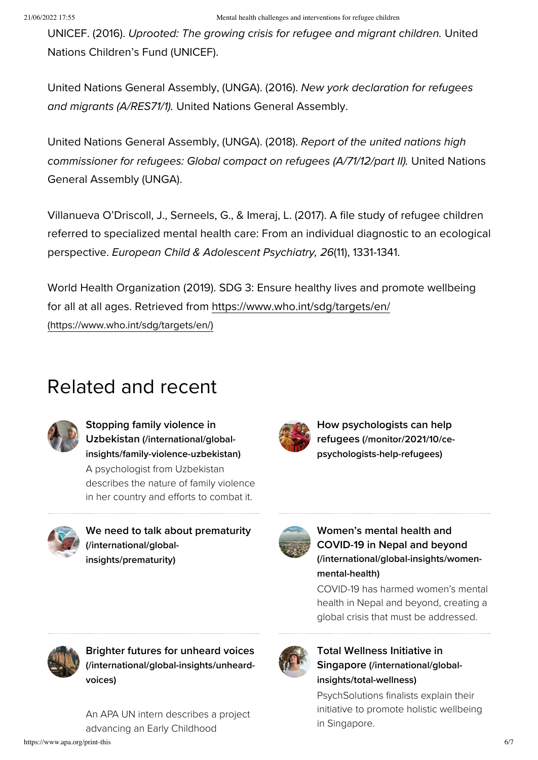UNICEF. (2016). Uprooted: The growing crisis for refugee and migrant children. United Nations Children's Fund (UNICEF).

United Nations General Assembly, (UNGA). (2016). New york declaration for refugees and migrants (A/RES71/1). United Nations General Assembly.

United Nations General Assembly, (UNGA). (2018). Report of the united nations high commissioner for refugees: Global compact on refugees (A/71/12/part II). United Nations General Assembly (UNGA).

Villanueva O'Driscoll, J., Serneels, G., & Imeraj, L. (2017). A file study of refugee children referred to specialized mental health care: From an individual diagnostic to an ecological perspective. European Child & Adolescent Psychiatry, 26(11), 1331-1341.

World Health Organization (2019). SDG 3: Ensure healthy lives and promote wellbeing for all at all ages. Retrieved from <https://www.who.int/sdg/targets/en/> (https://www.who.int/sdg/targets/en/)

# Related and recent



Stopping family violence in Uzbekistan (/international/global[insights/family-violence-uzbekistan\)](https://www.apa.org/international/global-insights/family-violence-uzbekistan)

A psychologist from Uzbekistan describes the nature of family violence in her country and efforts to combat it.



How psychologists can help refugees (/monitor/2021/10/ce[psychologists-help-refugees\)](https://www.apa.org/monitor/2021/10/ce-psychologists-help-refugees)



We need to talk about prematurity [\(/international/global](https://www.apa.org/international/global-insights/prematurity)insights/prematurity)



Women's mental health and COVID-19 in Nepal and beyond [\(/international/global-insights/women](https://www.apa.org/international/global-insights/women-mental-health)mental-health)

COVID-19 has harmed women's mental health in Nepal and beyond, creating a global crisis that must be addressed.

Total Wellness Initiative in

[insights/total-wellness\)](https://www.apa.org/international/global-insights/total-wellness)

in Singapore.

Singapore (/international/global-

PsychSolutions finalists explain their initiative to promote holistic wellbeing



Brighter futures for unheard voices [\(/international/global-insights/unheard](https://www.apa.org/international/global-insights/unheard-voices)voices)

An APA UN intern describes a project advancing an Early Childhood